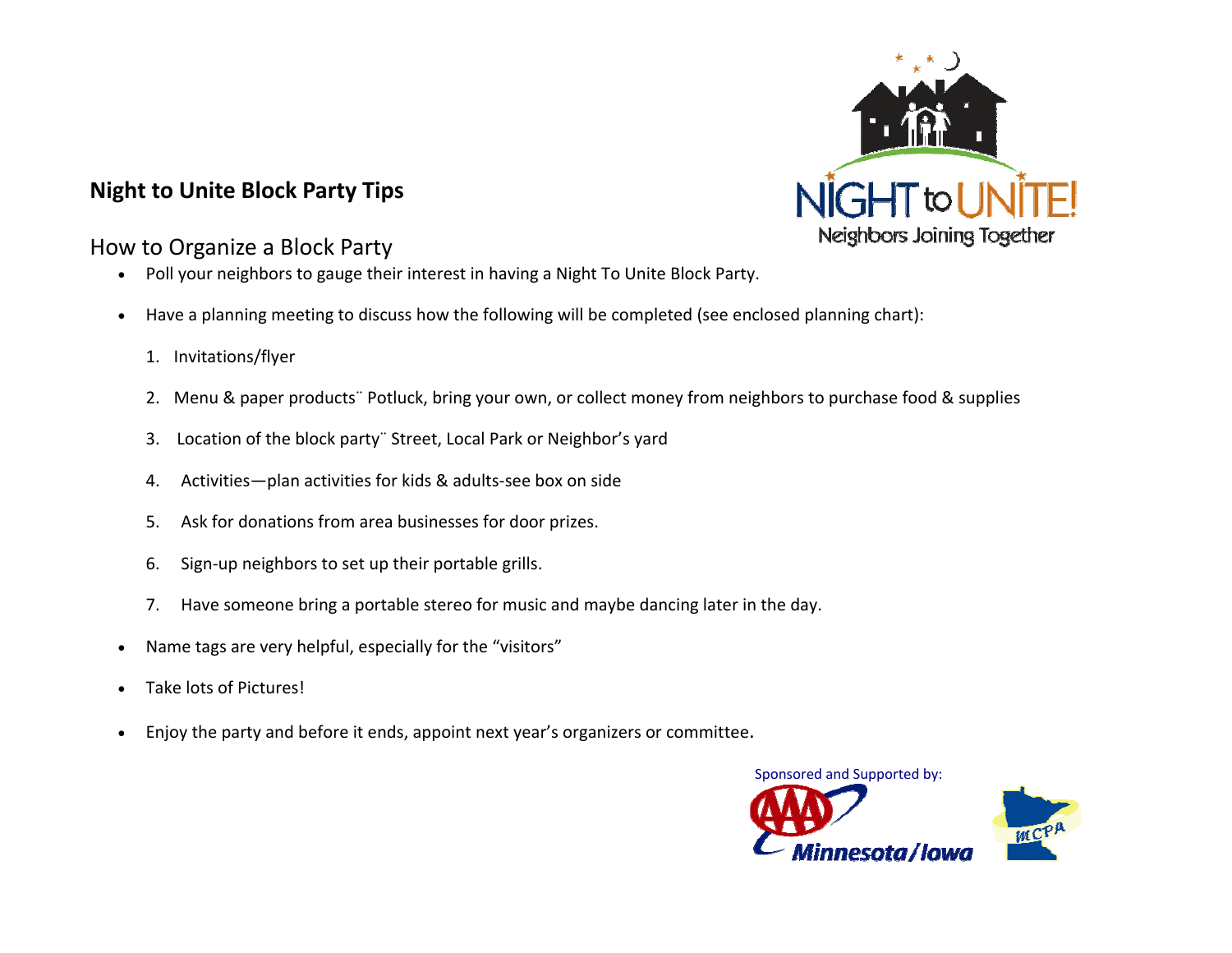## **Night to Unite Block Party Tips**



- Poll your neighbors to gauge their interest in having <sup>a</sup> Night To Unite Block Party.
- Have <sup>a</sup> planning meeting to discuss how the following will be completed (see enclosed planning chart):
	- 1. Invitations/flyer
	- 2. Menu & paper products¨ Potluck, bring your own, or collect money from neighbors to purchase food & supplies
	- 3. Location of the block party¨ Street, Local Park or Neighbor's yard
	- 4.Activities—plan activities for kids & adults‐see box on side
	- 5.Ask for donations from area businesses for door prizes.
	- 6.Sign‐up neighbors to set up their portable grills.
	- 7.Have someone bring <sup>a</sup> portable stereo for music and maybe dancing later in the day.
- Name tags are very helpful, especially for the "visitors"
- Take lots of Pictures!
- Enjoy the party and before it ends, appoint next year's organizers or committee.